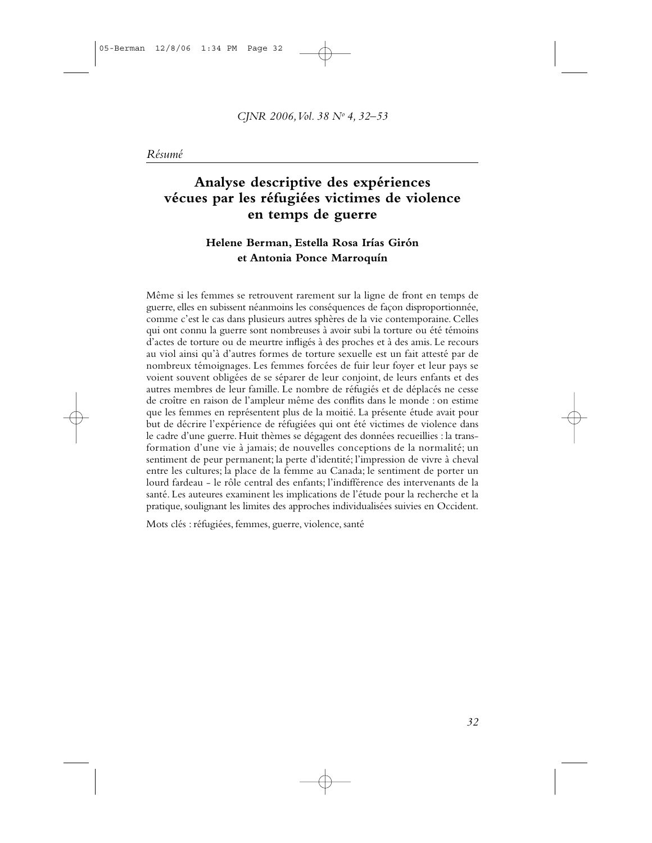## Analyse descriptive des expériences vécues par les réfugiées victimes de violence en temps de guerre

## Helene Berman, Estella Rosa Irías Girón et Antonia Ponce Marroquín

Même si les femmes se retrouvent rarement sur la ligne de front en temps de guerre, elles en subissent néanmoins les conséquences de façon disproportionnée, comme c'est le cas dans plusieurs autres sphères de la vie contemporaine. Celles qui ont connu la guerre sont nombreuses à avoir subi la torture ou été témoins d'actes de torture ou de meurtre infligés à des proches et à des amis. Le recours au viol ainsi qu'à d'autres formes de torture sexuelle est un fait attesté par de nombreux témoignages. Les femmes forcées de fuir leur foyer et leur pays se voient souvent obligées de se séparer de leur conjoint, de leurs enfants et des autres membres de leur famille. Le nombre de réfugiés et de déplacés ne cesse de croître en raison de l'ampleur même des conflits dans le monde : on estime que les femmes en représentent plus de la moitié. La présente étude avait pour but de décrire l'expérience de réfugiées qui ont été victimes de violence dans le cadre d'une guerre. Huit thèmes se dégagent des données recueillies : la transformation d'une vie à jamais; de nouvelles conceptions de la normalité; un sentiment de peur permanent; la perte d'identité; l'impression de vivre à cheval entre les cultures; la place de la femme au Canada; le sentiment de porter un lourd fardeau - le rôle central des enfants; l'indifférence des intervenants de la santé. Les auteures examinent les implications de l'étude pour la recherche et la pratique, soulignant les limites des approches individualisées suivies en Occident.

Mots clés : réfugiées, femmes, guerre, violence, santé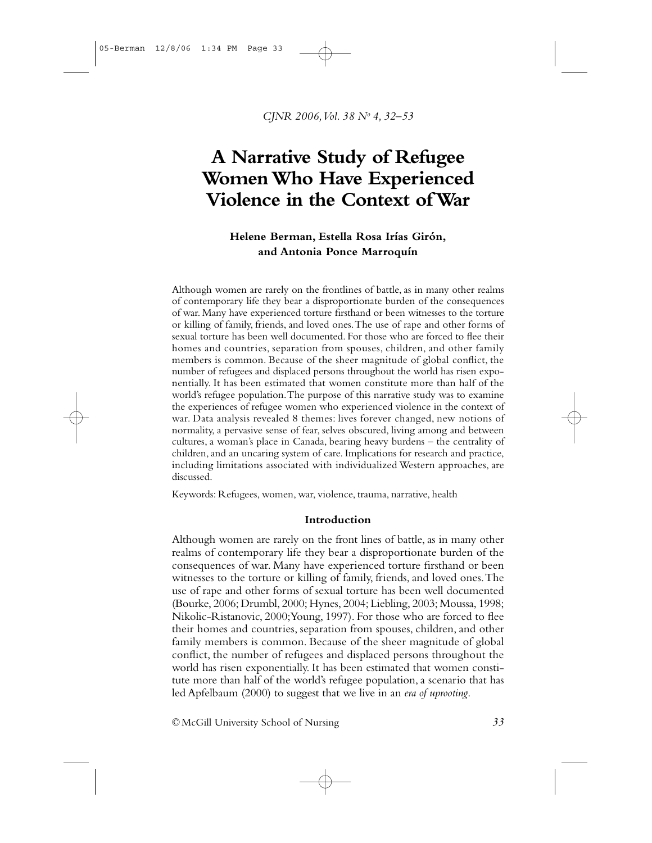CJNR 2006, Vol. 38 Nº 4, 32-53

# A Narrative Study of Refugee Women Who Have Experienced Violence in the Context of War

## Helene Berman, Estella Rosa Irías Girón, and Antonia Ponce Marroquín

Although women are rarely on the frontlines of battle, as in many other realms of contemporary life they bear a disproportionate burden of the consequences of war. Many have experienced torture firsthand or been witnesses to the torture or killing of family, friends, and loved ones. The use of rape and other forms of sexual torture has been well documented. For those who are forced to flee their homes and countries, separation from spouses, children, and other family members is common. Because of the sheer magnitude of global conflict, the number of refugees and displaced persons throughout the world has risen exponentially. It has been estimated that women constitute more than half of the world's refugee population. The purpose of this narrative study was to examine the experiences of refugee women who experienced violence in the context of war. Data analysis revealed 8 themes: lives forever changed, new notions of normality, a pervasive sense of fear, selves obscured, living among and between cultures, a woman's place in Canada, bearing heavy burdens - the centrality of children, and an uncaring system of care. Implications for research and practice, including limitations associated with individualized Western approaches, are discussed.

Keywords: Refugees, women, war, violence, trauma, narrative, health

#### Introduction

Although women are rarely on the front lines of battle, as in many other realms of contemporary life they bear a disproportionate burden of the consequences of war. Many have experienced torture firsthand or been witnesses to the torture or killing of family, friends, and loved ones. The use of rape and other forms of sexual torture has been well documented (Bourke, 2006; Drumbl, 2000; Hynes, 2004; Liebling, 2003; Moussa, 1998; Nikolic-Ristanovic, 2000; Young, 1997). For those who are forced to flee their homes and countries, separation from spouses, children, and other family members is common. Because of the sheer magnitude of global conflict, the number of refugees and displaced persons throughout the world has risen exponentially. It has been estimated that women constitute more than half of the world's refugee population, a scenario that has led Apfelbaum (2000) to suggest that we live in an era of uprooting.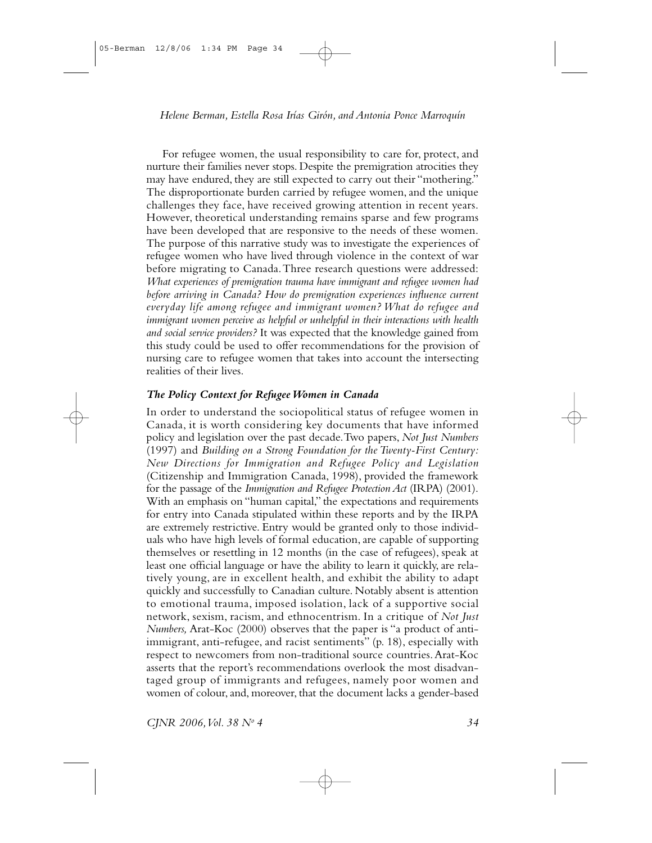For refugee women, the usual responsibility to care for, protect, and nurture their families never stops. Despite the premigration atrocities they may have endured, they are still expected to carry out their "mothering." The disproportionate burden carried by refugee women, and the unique challenges they face, have received growing attention in recent years. However, theoretical understanding remains sparse and few programs have been developed that are responsive to the needs of these women. The purpose of this narrative study was to investigate the experiences of refugee women who have lived through violence in the context of war before migrating to Canada. Three research questions were addressed: What experiences of premigration trauma have immigrant and refugee women had before arriving in Canada? How do premigration experiences influence current everyday life among refugee and immigrant women? What do refugee and immigrant women perceive as helpful or unhelpful in their interactions with health and social service providers? It was expected that the knowledge gained from this study could be used to offer recommendations for the provision of nursing care to refugee women that takes into account the intersecting realities of their lives

## The Policy Context for Refugee Women in Canada

In order to understand the sociopolitical status of refugee women in Canada, it is worth considering key documents that have informed policy and legislation over the past decade. Two papers, Not Just Numbers (1997) and Building on a Strong Foundation for the Twenty-First Century: New Directions for Immigration and Refugee Policy and Legislation (Citizenship and Immigration Canada, 1998), provided the framework for the passage of the *Immigration and Refugee Protection Act* (IRPA)  $(2001)$ . With an emphasis on "human capital," the expectations and requirements for entry into Canada stipulated within these reports and by the IRPA are extremely restrictive. Entry would be granted only to those individuals who have high levels of formal education, are capable of supporting themselves or resettling in 12 months (in the case of refugees), speak at least one official language or have the ability to learn it quickly, are relatively young, are in excellent health, and exhibit the ability to adapt quickly and successfully to Canadian culture. Notably absent is attention to emotional trauma, imposed isolation, lack of a supportive social network, sexism, racism, and ethnocentrism. In a critique of Not Just Numbers, Arat-Koc (2000) observes that the paper is "a product of antiimmigrant, anti-refugee, and racist sentiments" (p. 18), especially with respect to newcomers from non-traditional source countries. Arat-Koc asserts that the report's recommendations overlook the most disadvantaged group of immigrants and refugees, namely poor women and women of colour, and, moreover, that the document lacks a gender-based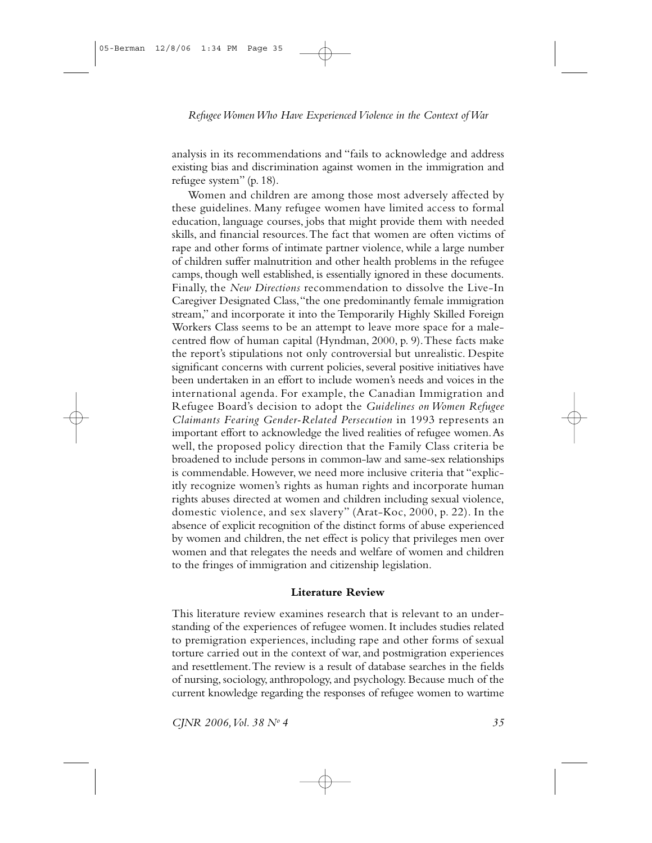analysis in its recommendations and "fails to acknowledge and address existing bias and discrimination against women in the immigration and refugee system" (p. 18).

Women and children are among those most adversely affected by these guidelines. Many refugee women have limited access to formal education, language courses, jobs that might provide them with needed skills, and financial resources. The fact that women are often victims of rape and other forms of intimate partner violence, while a large number of children suffer malnutrition and other health problems in the refugee camps, though well established, is essentially ignored in these documents. Finally, the New Directions recommendation to dissolve the Live-In Caregiver Designated Class, "the one predominantly female immigration stream," and incorporate it into the Temporarily Highly Skilled Foreign Workers Class seems to be an attempt to leave more space for a malecentred flow of human capital (Hyndman, 2000, p. 9). These facts make the report's stipulations not only controversial but unrealistic. Despite significant concerns with current policies, several positive initiatives have been undertaken in an effort to include women's needs and voices in the international agenda. For example, the Canadian Immigration and Refugee Board's decision to adopt the Guidelines on Women Refugee Claimants Fearing Gender-Related Persecution in 1993 represents an important effort to acknowledge the lived realities of refugee women. As well, the proposed policy direction that the Family Class criteria be broadened to include persons in common-law and same-sex relationships is commendable. However, we need more inclusive criteria that "explicitly recognize women's rights as human rights and incorporate human rights abuses directed at women and children including sexual violence, domestic violence, and sex slavery" (Arat-Koc, 2000, p. 22). In the absence of explicit recognition of the distinct forms of abuse experienced by women and children, the net effect is policy that privileges men over women and that relegates the needs and welfare of women and children to the fringes of immigration and citizenship legislation.

#### **Literature Review**

This literature review examines research that is relevant to an understanding of the experiences of refugee women. It includes studies related to premigration experiences, including rape and other forms of sexual torture carried out in the context of war, and postmigration experiences and resettlement. The review is a result of database searches in the fields of nursing, sociology, anthropology, and psychology. Because much of the current knowledge regarding the responses of refugee women to wartime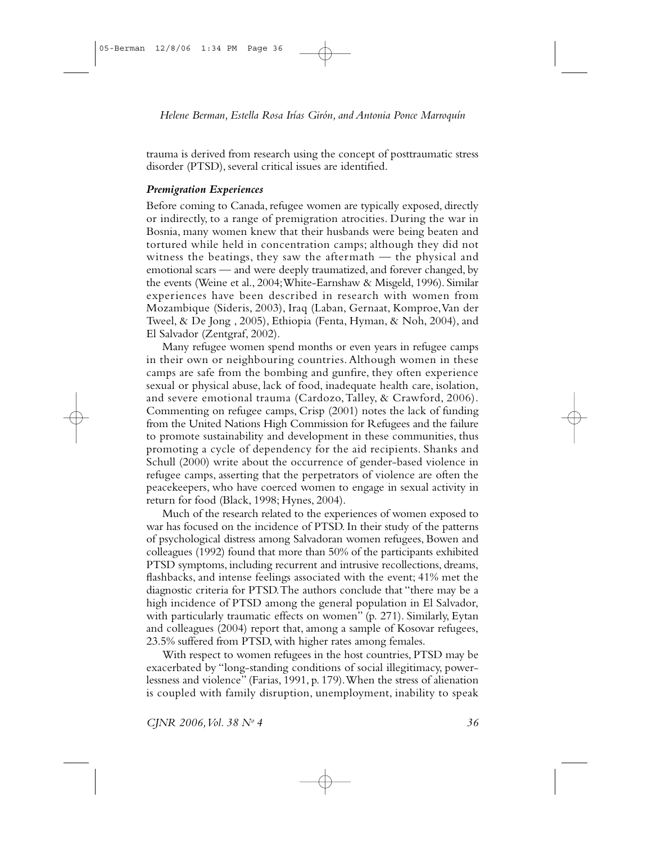trauma is derived from research using the concept of posttraumatic stress disorder (PTSD), several critical issues are identified.

## **Premigration Experiences**

Before coming to Canada, refugee women are typically exposed, directly or indirectly, to a range of premigration atrocities. During the war in Bosnia, many women knew that their husbands were being beaten and tortured while held in concentration camps; although they did not witness the beatings, they saw the aftermath  $-$  the physical and emotional scars — and were deeply traumatized, and forever changed, by the events (Weine et al., 2004; White-Earnshaw & Misgeld, 1996). Similar experiences have been described in research with women from Mozambique (Sideris, 2003), Iraq (Laban, Gernaat, Komproe, Van der Tweel, & De Jong, 2005), Ethiopia (Fenta, Hyman, & Noh, 2004), and El Salvador (Zentgraf, 2002).

Many refugee women spend months or even years in refugee camps in their own or neighbouring countries. Although women in these camps are safe from the bombing and gunfire, they often experience sexual or physical abuse, lack of food, inadequate health care, isolation, and severe emotional trauma (Cardozo, Talley, & Crawford, 2006). Commenting on refugee camps, Crisp (2001) notes the lack of funding from the United Nations High Commission for Refugees and the failure to promote sustainability and development in these communities, thus promoting a cycle of dependency for the aid recipients. Shanks and Schull (2000) write about the occurrence of gender-based violence in refugee camps, asserting that the perpetrators of violence are often the peacekeepers, who have coerced women to engage in sexual activity in return for food (Black, 1998; Hynes, 2004).

Much of the research related to the experiences of women exposed to war has focused on the incidence of PTSD. In their study of the patterns of psychological distress among Salvadoran women refugees, Bowen and colleagues (1992) found that more than 50% of the participants exhibited PTSD symptoms, including recurrent and intrusive recollections, dreams, flashbacks, and intense feelings associated with the event; 41% met the diagnostic criteria for PTSD. The authors conclude that "there may be a high incidence of PTSD among the general population in El Salvador, with particularly traumatic effects on women" (p. 271). Similarly, Eytan and colleagues (2004) report that, among a sample of Kosovar refugees, 23.5% suffered from PTSD, with higher rates among females.

With respect to women refugees in the host countries, PTSD may be exacerbated by "long-standing conditions of social illegitimacy, powerlessness and violence" (Farias, 1991, p. 179). When the stress of alienation is coupled with family disruption, unemployment, inability to speak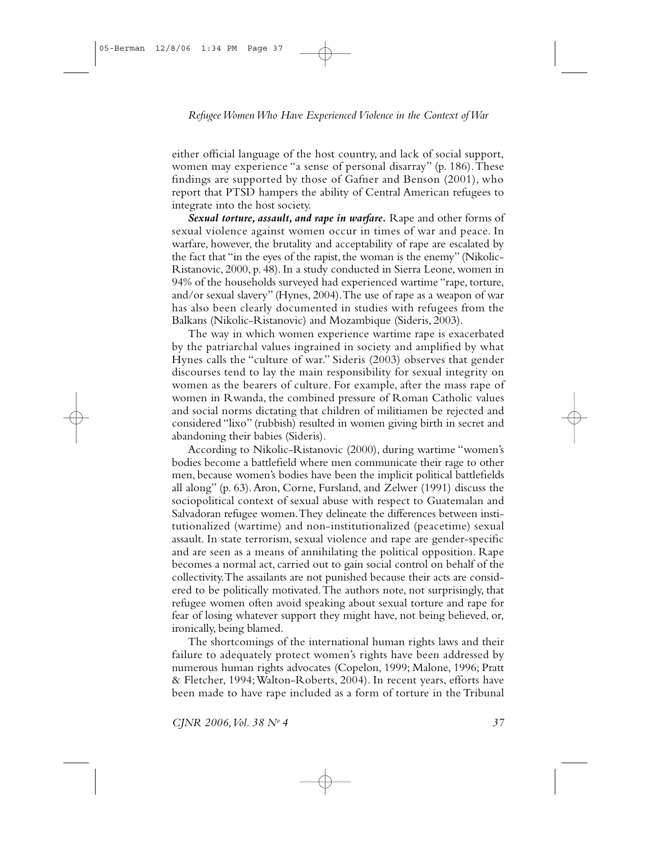either official language of the host country, and lack of social support, women may experience "a sense of personal disarray" (p. 186). These findings are supported by those of Gafner and Benson  $(2001)$ , who report that PTSD hampers the ability of Central American refugees to integrate into the host society.

Sexual torture, assault, and rape in warfare. Rape and other forms of sexual violence against women occur in times of war and peace. In warfare, however, the brutality and acceptability of rape are escalated by the fact that "in the eyes of the rapist, the woman is the enemy" (Nikolic-Ristanovic, 2000, p. 48). In a study conducted in Sierra Leone, women in 94% of the households surveyed had experienced wartime "rape, torture, and/or sexual slavery" (Hynes, 2004). The use of rape as a weapon of war has also been clearly documented in studies with refugees from the Balkans (Nikolic-Ristanovic) and Mozambique (Sideris, 2003).

The way in which women experience wartime rape is exacerbated by the patriarchal values ingrained in society and amplified by what Hynes calls the "culture of war." Sideris (2003) observes that gender discourses tend to lay the main responsibility for sexual integrity on women as the bearers of culture. For example, after the mass rape of women in Rwanda, the combined pressure of Roman Catholic values and social norms dictating that children of militiamen be rejected and considered "lixo" (rubbish) resulted in women giving birth in secret and abandoning their babies (Sideris).

According to Nikolic-Ristanovic (2000), during wartime "women's bodies become a battlefield where men communicate their rage to other men, because women's bodies have been the implicit political battlefields all along" (p. 63). Aron, Corne, Fursland, and Zelwer (1991) discuss the sociopolitical context of sexual abuse with respect to Guatemalan and Salvadoran refugee women. They delineate the differences between institutionalized (wartime) and non-institutionalized (peacetime) sexual assault. In state terrorism, sexual violence and rape are gender-specific and are seen as a means of annihilating the political opposition. Rape becomes a normal act, carried out to gain social control on behalf of the collectivity. The assailants are not punished because their acts are considered to be politically motivated. The authors note, not surprisingly, that refugee women often avoid speaking about sexual torture and rape for fear of losing whatever support they might have, not being believed, or, ironically, being blamed.

The shortcomings of the international human rights laws and their failure to adequately protect women's rights have been addressed by numerous human rights advocates (Copelon, 1999; Malone, 1996; Pratt & Fletcher, 1994; Walton-Roberts, 2004). In recent years, efforts have been made to have rape included as a form of torture in the Tribunal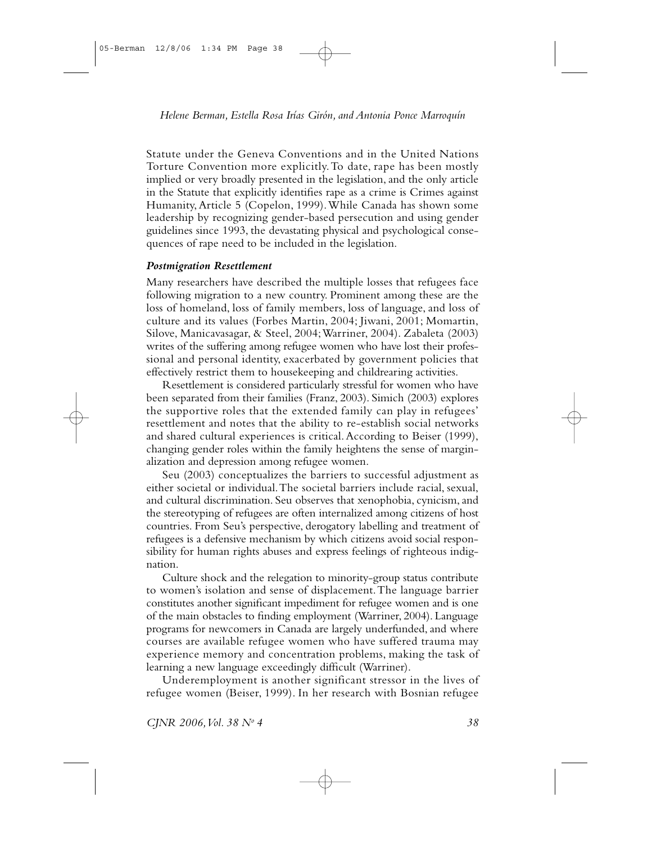Statute under the Geneva Conventions and in the United Nations Torture Convention more explicitly. To date, rape has been mostly implied or very broadly presented in the legislation, and the only article in the Statute that explicitly identifies rape as a crime is Crimes against Humanity, Article 5 (Copelon, 1999). While Canada has shown some leadership by recognizing gender-based persecution and using gender guidelines since 1993, the devastating physical and psychological consequences of rape need to be included in the legislation.

## **Postmigration Resettlement**

Many researchers have described the multiple losses that refugees face following migration to a new country. Prominent among these are the loss of homeland, loss of family members, loss of language, and loss of culture and its values (Forbes Martin, 2004; Jiwani, 2001; Momartin, Silove, Manicavasagar, & Steel, 2004; Warriner, 2004). Zabaleta (2003) writes of the suffering among refugee women who have lost their professional and personal identity, exacerbated by government policies that effectively restrict them to housekeeping and childrearing activities.

Resettlement is considered particularly stressful for women who have been separated from their families (Franz, 2003). Simich (2003) explores the supportive roles that the extended family can play in refugees' resettlement and notes that the ability to re-establish social networks and shared cultural experiences is critical. According to Beiser (1999), changing gender roles within the family heightens the sense of marginalization and depression among refugee women.

Seu (2003) conceptualizes the barriers to successful adjustment as either societal or individual. The societal barriers include racial, sexual, and cultural discrimination. Seu observes that xenophobia, cynicism, and the stereotyping of refugees are often internalized among citizens of host countries. From Seu's perspective, derogatory labelling and treatment of refugees is a defensive mechanism by which citizens avoid social responsibility for human rights abuses and express feelings of righteous indignation.

Culture shock and the relegation to minority-group status contribute to women's isolation and sense of displacement. The language barrier constitutes another significant impediment for refugee women and is one of the main obstacles to finding employment (Warriner, 2004). Language programs for newcomers in Canada are largely underfunded, and where courses are available refugee women who have suffered trauma may experience memory and concentration problems, making the task of learning a new language exceedingly difficult (Warriner).

Underemployment is another significant stressor in the lives of refugee women (Beiser, 1999). In her research with Bosnian refugee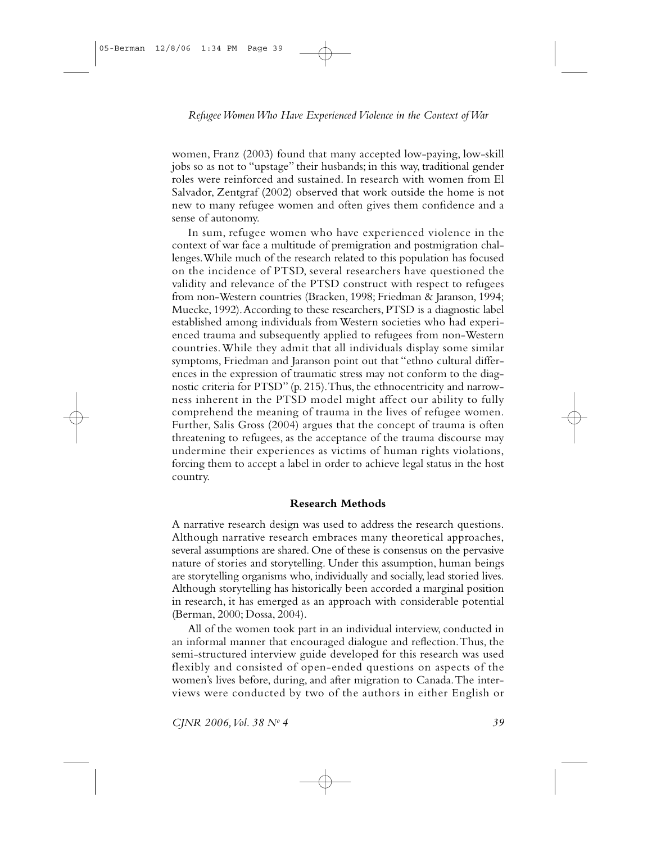women, Franz (2003) found that many accepted low-paying, low-skill jobs so as not to "upstage" their husbands; in this way, traditional gender roles were reinforced and sustained. In research with women from El Salvador, Zentgraf (2002) observed that work outside the home is not new to many refugee women and often gives them confidence and a sense of autonomy.

In sum, refugee women who have experienced violence in the context of war face a multitude of premigration and postmigration challenges. While much of the research related to this population has focused on the incidence of PTSD, several researchers have questioned the validity and relevance of the PTSD construct with respect to refugees from non-Western countries (Bracken, 1998; Friedman & Jaranson, 1994; Muecke, 1992). According to these researchers, PTSD is a diagnostic label established among individuals from Western societies who had experienced trauma and subsequently applied to refugees from non-Western countries. While they admit that all individuals display some similar symptoms, Friedman and Jaranson point out that "ethno cultural differences in the expression of traumatic stress may not conform to the diagnostic criteria for PTSD" (p. 215). Thus, the ethnocentricity and narrowness inherent in the PTSD model might affect our ability to fully comprehend the meaning of trauma in the lives of refugee women. Further, Salis Gross (2004) argues that the concept of trauma is often threatening to refugees, as the acceptance of the trauma discourse may undermine their experiences as victims of human rights violations, forcing them to accept a label in order to achieve legal status in the host country.

#### **Research Methods**

A narrative research design was used to address the research questions. Although narrative research embraces many theoretical approaches, several assumptions are shared. One of these is consensus on the pervasive nature of stories and storytelling. Under this assumption, human beings are storytelling organisms who, individually and socially, lead storied lives. Although storytelling has historically been accorded a marginal position in research, it has emerged as an approach with considerable potential (Berman, 2000; Dossa, 2004).

All of the women took part in an individual interview, conducted in an informal manner that encouraged dialogue and reflection. Thus, the semi-structured interview guide developed for this research was used flexibly and consisted of open-ended questions on aspects of the women's lives before, during, and after migration to Canada. The interviews were conducted by two of the authors in either English or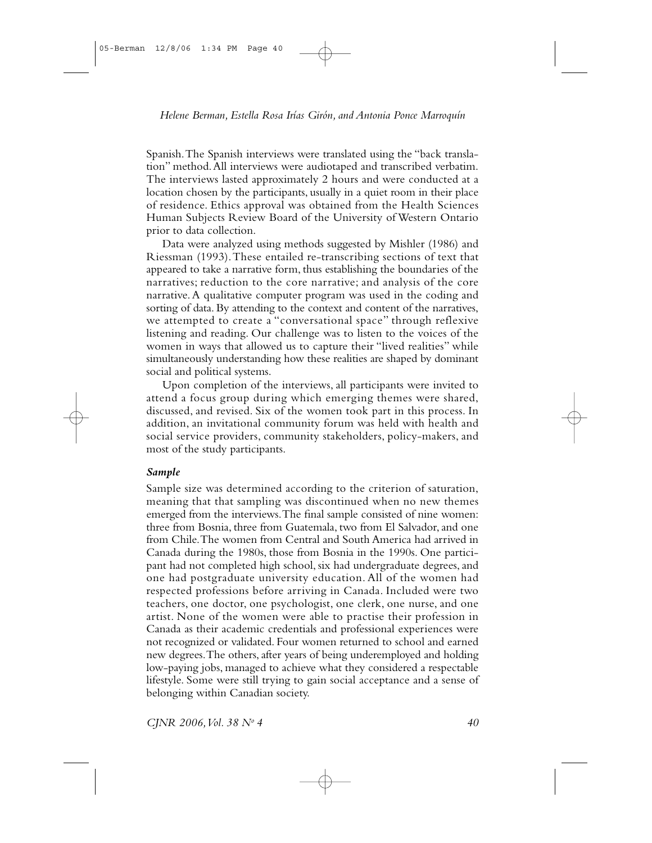Spanish. The Spanish interviews were translated using the "back translation" method. All interviews were audiotaped and transcribed verbatim. The interviews lasted approximately 2 hours and were conducted at a location chosen by the participants, usually in a quiet room in their place of residence. Ethics approval was obtained from the Health Sciences Human Subjects Review Board of the University of Western Ontario prior to data collection.

Data were analyzed using methods suggested by Mishler (1986) and Riessman (1993). These entailed re-transcribing sections of text that appeared to take a narrative form, thus establishing the boundaries of the narratives; reduction to the core narrative; and analysis of the core narrative. A qualitative computer program was used in the coding and sorting of data. By attending to the context and content of the narratives, we attempted to create a "conversational space" through reflexive listening and reading. Our challenge was to listen to the voices of the women in ways that allowed us to capture their "lived realities" while simultaneously understanding how these realities are shaped by dominant social and political systems.

Upon completion of the interviews, all participants were invited to attend a focus group during which emerging themes were shared, discussed, and revised. Six of the women took part in this process. In addition, an invitational community forum was held with health and social service providers, community stakeholders, policy-makers, and most of the study participants.

## Sample

Sample size was determined according to the criterion of saturation, meaning that that sampling was discontinued when no new themes emerged from the interviews. The final sample consisted of nine women: three from Bosnia, three from Guatemala, two from El Salvador, and one from Chile. The women from Central and South America had arrived in Canada during the 1980s, those from Bosnia in the 1990s. One participant had not completed high school, six had undergraduate degrees, and one had postgraduate university education. All of the women had respected professions before arriving in Canada. Included were two teachers, one doctor, one psychologist, one clerk, one nurse, and one artist. None of the women were able to practise their profession in Canada as their academic credentials and professional experiences were not recognized or validated. Four women returned to school and earned new degrees. The others, after years of being underemployed and holding low-paying jobs, managed to achieve what they considered a respectable lifestyle. Some were still trying to gain social acceptance and a sense of belonging within Canadian society.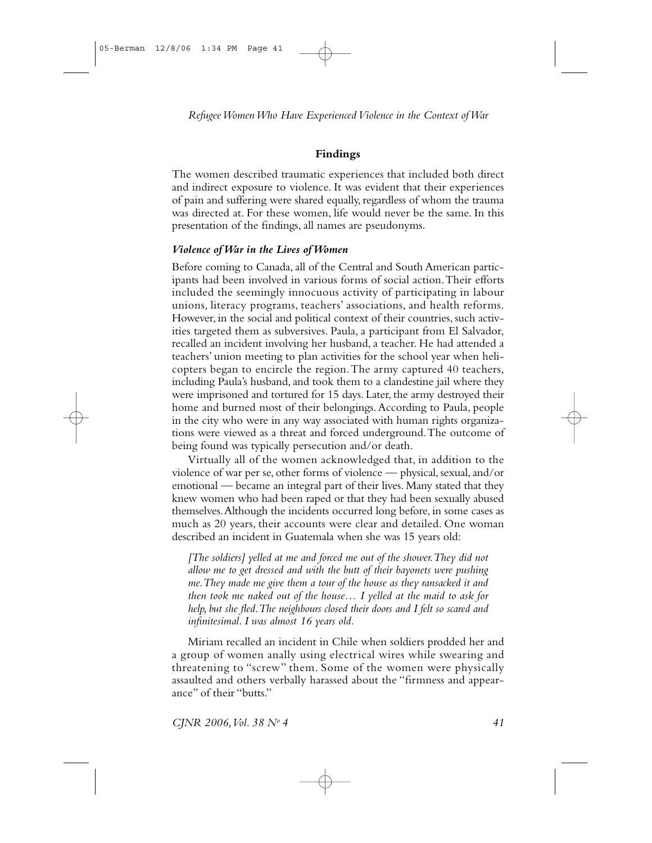## **Findings**

The women described traumatic experiences that included both direct and indirect exposure to violence. It was evident that their experiences of pain and suffering were shared equally, regardless of whom the trauma was directed at. For these women, life would never be the same. In this presentation of the findings, all names are pseudonyms.

## Violence of War in the Lives of Women

Before coming to Canada, all of the Central and South American participants had been involved in various forms of social action. Their efforts included the seemingly innocuous activity of participating in labour unions, literacy programs, teachers' associations, and health reforms. However, in the social and political context of their countries, such activities targeted them as subversives. Paula, a participant from El Salvador, recalled an incident involving her husband, a teacher. He had attended a teachers' union meeting to plan activities for the school year when helicopters began to encircle the region. The army captured 40 teachers, including Paula's husband, and took them to a clandestine jail where they were imprisoned and tortured for 15 days. Later, the army destroyed their home and burned most of their belongings. According to Paula, people in the city who were in any way associated with human rights organizations were viewed as a threat and forced underground. The outcome of being found was typically persecution and/or death.

Virtually all of the women acknowledged that, in addition to the violence of war per se, other forms of violence — physical, sexual, and/or emotional — became an integral part of their lives. Many stated that they knew women who had been raped or that they had been sexually abused themselves. Although the incidents occurred long before, in some cases as much as 20 years, their accounts were clear and detailed. One woman described an incident in Guatemala when she was 15 years old:

[The soldiers] yelled at me and forced me out of the shower. They did not allow me to get dressed and with the butt of their bayonets were pushing me. They made me give them a tour of the house as they ransacked it and then took me naked out of the house... I yelled at the maid to ask for help, but she fled. The neighbours closed their doors and I felt so scared and infinitesimal. I was almost 16 years old.

Miriam recalled an incident in Chile when soldiers prodded her and a group of women anally using electrical wires while swearing and threatening to "screw" them. Some of the women were physically assaulted and others verbally harassed about the "firmness and appearance" of their "butts."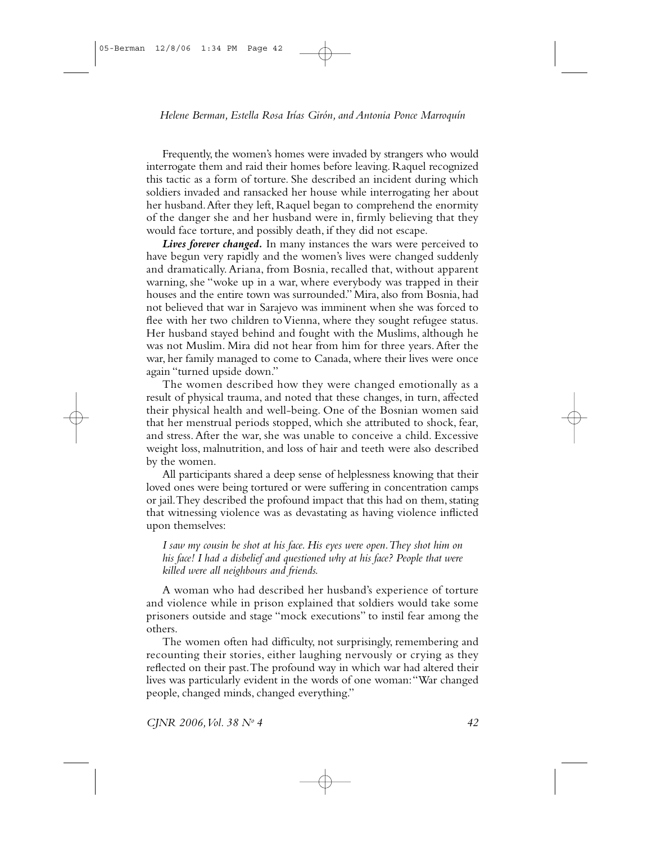Frequently, the women's homes were invaded by strangers who would interrogate them and raid their homes before leaving. Raquel recognized this tactic as a form of torture. She described an incident during which soldiers invaded and ransacked her house while interrogating her about her husband. After they left, Raquel began to comprehend the enormity of the danger she and her husband were in, firmly believing that they would face torture, and possibly death, if they did not escape.

Lives forever changed. In many instances the wars were perceived to have begun very rapidly and the women's lives were changed suddenly and dramatically. Ariana, from Bosnia, recalled that, without apparent warning, she "woke up in a war, where everybody was trapped in their houses and the entire town was surrounded." Mira, also from Bosnia, had not believed that war in Sarajevo was imminent when she was forced to flee with her two children to Vienna, where they sought refugee status. Her husband stayed behind and fought with the Muslims, although he was not Muslim. Mira did not hear from him for three years. After the war, her family managed to come to Canada, where their lives were once again "turned upside down."

The women described how they were changed emotionally as a result of physical trauma, and noted that these changes, in turn, affected their physical health and well-being. One of the Bosnian women said that her menstrual periods stopped, which she attributed to shock, fear, and stress. After the war, she was unable to conceive a child. Excessive weight loss, malnutrition, and loss of hair and teeth were also described by the women.

All participants shared a deep sense of helplessness knowing that their loved ones were being tortured or were suffering in concentration camps or jail. They described the profound impact that this had on them, stating that witnessing violence was as devastating as having violence inflicted upon themselves:

I saw my cousin be shot at his face. His eyes were open. They shot him on his face! I had a disbelief and questioned why at his face? People that were killed were all neighbours and friends.

A woman who had described her husband's experience of torture and violence while in prison explained that soldiers would take some prisoners outside and stage "mock executions" to instil fear among the others.

The women often had difficulty, not surprisingly, remembering and recounting their stories, either laughing nervously or crying as they reflected on their past. The profound way in which war had altered their lives was particularly evident in the words of one woman: "War changed people, changed minds, changed everything."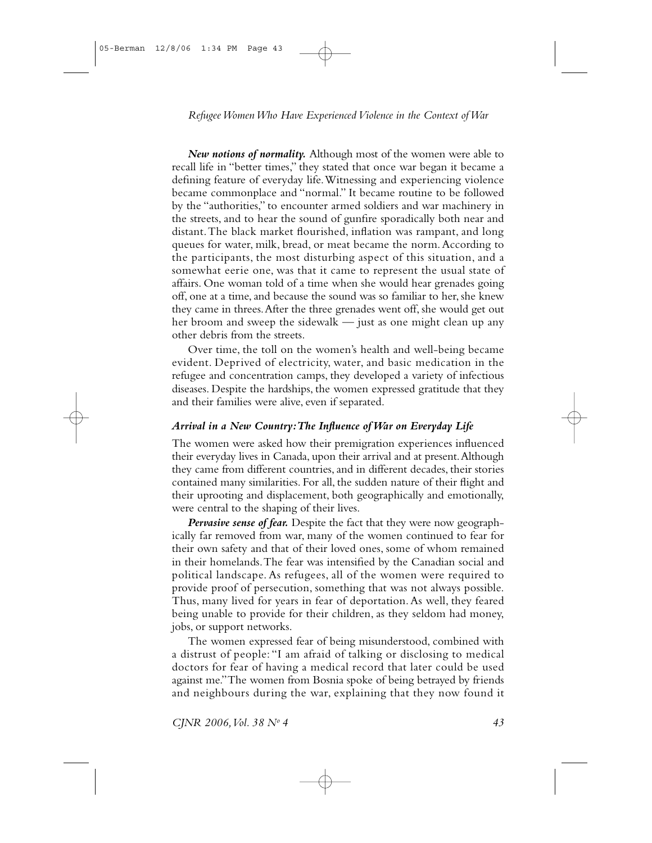New notions of normality. Although most of the women were able to recall life in "better times," they stated that once war began it became a defining feature of everyday life. Witnessing and experiencing violence became commonplace and "normal." It became routine to be followed by the "authorities," to encounter armed soldiers and war machinery in the streets, and to hear the sound of gunfire sporadically both near and distant. The black market flourished, inflation was rampant, and long queues for water, milk, bread, or meat became the norm. According to the participants, the most disturbing aspect of this situation, and a somewhat eerie one, was that it came to represent the usual state of affairs. One woman told of a time when she would hear grenades going off, one at a time, and because the sound was so familiar to her, she knew they came in threes. After the three grenades went off, she would get out her broom and sweep the sidewalk  $-$  just as one might clean up any other debris from the streets.

Over time, the toll on the women's health and well-being became evident. Deprived of electricity, water, and basic medication in the refugee and concentration camps, they developed a variety of infectious diseases. Despite the hardships, the women expressed gratitude that they and their families were alive, even if separated.

## Arrival in a New Country: The Influence of War on Everyday Life

The women were asked how their premigration experiences influenced their everyday lives in Canada, upon their arrival and at present. Although they came from different countries, and in different decades, their stories contained many similarities. For all, the sudden nature of their flight and their uprooting and displacement, both geographically and emotionally, were central to the shaping of their lives.

Pervasive sense of fear. Despite the fact that they were now geographically far removed from war, many of the women continued to fear for their own safety and that of their loved ones, some of whom remained in their homelands. The fear was intensified by the Canadian social and political landscape. As refugees, all of the women were required to provide proof of persecution, something that was not always possible. Thus, many lived for years in fear of deportation. As well, they feared being unable to provide for their children, as they seldom had money, jobs, or support networks.

The women expressed fear of being misunderstood, combined with a distrust of people: "I am afraid of talking or disclosing to medical doctors for fear of having a medical record that later could be used against me." The women from Bosnia spoke of being betrayed by friends and neighbours during the war, explaining that they now found it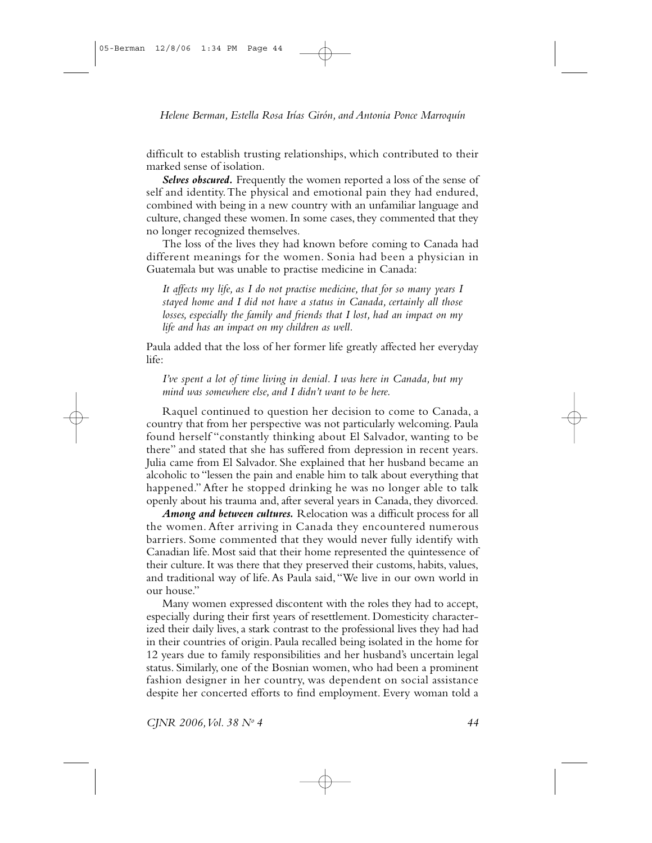difficult to establish trusting relationships, which contributed to their marked sense of isolation.

Selves obscured. Frequently the women reported a loss of the sense of self and identity. The physical and emotional pain they had endured, combined with being in a new country with an unfamiliar language and culture, changed these women. In some cases, they commented that they no longer recognized themselves.

The loss of the lives they had known before coming to Canada had different meanings for the women. Sonia had been a physician in Guatemala but was unable to practise medicine in Canada:

It affects my life, as I do not practise medicine, that for so many years I stayed home and I did not have a status in Canada, certainly all those losses, especially the family and friends that I lost, had an impact on my life and has an impact on my children as well.

Paula added that the loss of her former life greatly affected her everyday life:

I've spent a lot of time living in denial. I was here in Canada, but my mind was somewhere else, and I didn't want to be here.

Raquel continued to question her decision to come to Canada, a country that from her perspective was not particularly welcoming. Paula found herself "constantly thinking about El Salvador, wanting to be there" and stated that she has suffered from depression in recent years. Julia came from El Salvador. She explained that her husband became an alcoholic to "lessen the pain and enable him to talk about everything that happened." After he stopped drinking he was no longer able to talk openly about his trauma and, after several years in Canada, they divorced.

Among and between cultures. Relocation was a difficult process for all the women. After arriving in Canada they encountered numerous barriers. Some commented that they would never fully identify with Canadian life. Most said that their home represented the quintessence of their culture. It was there that they preserved their customs, habits, values, and traditional way of life. As Paula said, "We live in our own world in our house."

Many women expressed discontent with the roles they had to accept, especially during their first years of resettlement. Domesticity characterized their daily lives, a stark contrast to the professional lives they had had in their countries of origin. Paula recalled being isolated in the home for 12 years due to family responsibilities and her husband's uncertain legal status. Similarly, one of the Bosnian women, who had been a prominent fashion designer in her country, was dependent on social assistance despite her concerted efforts to find employment. Every woman told a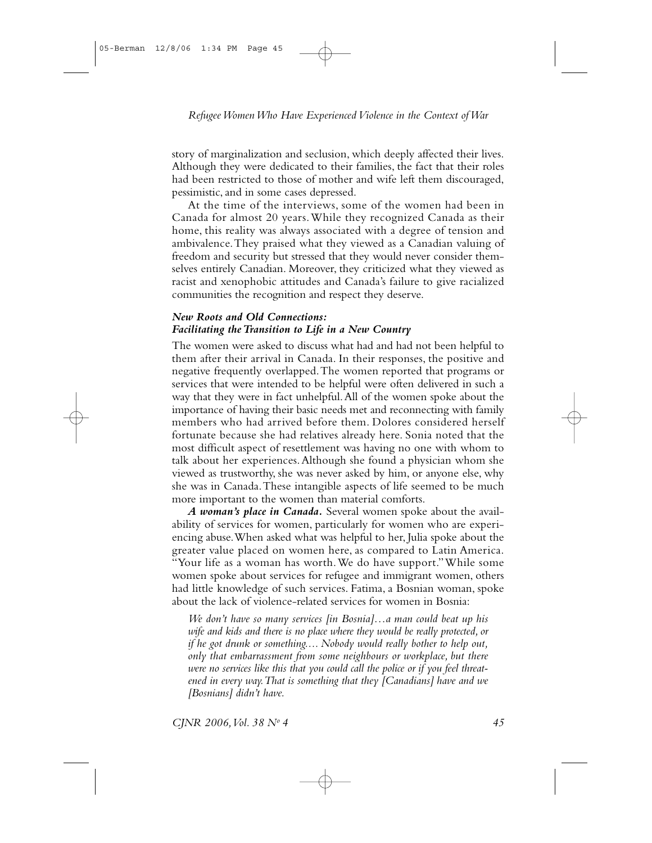story of marginalization and seclusion, which deeply affected their lives. Although they were dedicated to their families, the fact that their roles had been restricted to those of mother and wife left them discouraged, pessimistic, and in some cases depressed.

At the time of the interviews, some of the women had been in Canada for almost 20 years. While they recognized Canada as their home, this reality was always associated with a degree of tension and ambivalence. They praised what they viewed as a Canadian valuing of freedom and security but stressed that they would never consider themselves entirely Canadian. Moreover, they criticized what they viewed as racist and xenophobic attitudes and Canada's failure to give racialized communities the recognition and respect they deserve.

## **New Roots and Old Connections:** Facilitating the Transition to Life in a New Country

The women were asked to discuss what had and had not been helpful to them after their arrival in Canada. In their responses, the positive and negative frequently overlapped. The women reported that programs or services that were intended to be helpful were often delivered in such a way that they were in fact unhelpful. All of the women spoke about the importance of having their basic needs met and reconnecting with family members who had arrived before them. Dolores considered herself fortunate because she had relatives already here. Sonia noted that the most difficult aspect of resettlement was having no one with whom to talk about her experiences. Although she found a physician whom she viewed as trustworthy, she was never asked by him, or anyone else, why she was in Canada. These intangible aspects of life seemed to be much more important to the women than material comforts.

A woman's place in Canada. Several women spoke about the availability of services for women, particularly for women who are experiencing abuse. When asked what was helpful to her, Julia spoke about the greater value placed on women here, as compared to Latin America. "Your life as a woman has worth. We do have support." While some women spoke about services for refugee and immigrant women, others had little knowledge of such services. Fatima, a Bosnian woman, spoke about the lack of violence-related services for women in Bosnia:

We don't have so many services [in Bosnia]...a man could beat up his wife and kids and there is no place where they would be really protected, or if he got drunk or something.... Nobody would really bother to help out, only that embarrassment from some neighbours or workplace, but there were no services like this that you could call the police or if you feel threatened in every way. That is something that they [Canadians] have and we [Bosnians] didn't have.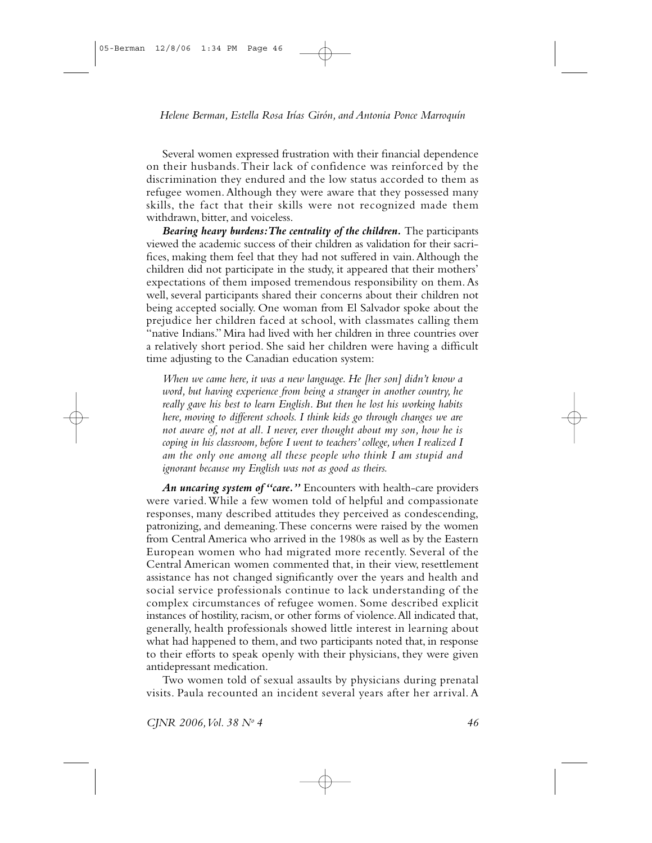Several women expressed frustration with their financial dependence on their husbands. Their lack of confidence was reinforced by the discrimination they endured and the low status accorded to them as refugee women. Although they were aware that they possessed many skills, the fact that their skills were not recognized made them withdrawn, bitter, and voiceless.

Bearing heavy burdens: The centrality of the children. The participants viewed the academic success of their children as validation for their sacrifices. making them feel that they had not suffered in vain. Although the children did not participate in the study, it appeared that their mothers' expectations of them imposed tremendous responsibility on them. As well, several participants shared their concerns about their children not being accepted socially. One woman from El Salvador spoke about the prejudice her children faced at school, with classmates calling them "native Indians." Mira had lived with her children in three countries over a relatively short period. She said her children were having a difficult time adjusting to the Canadian education system:

When we came here, it was a new language. He [her son] didn't know a word, but having experience from being a stranger in another country, he really gave his best to learn English. But then he lost his working habits here, moving to different schools. I think kids go through changes we are not aware of, not at all. I never, ever thought about my son, how he is coping in his classroom, before I went to teachers' college, when I realized I am the only one among all these people who think I am stupid and ignorant because my English was not as good as theirs.

An uncaring system of "care." Encounters with health-care providers were varied. While a few women told of helpful and compassionate responses, many described attitudes they perceived as condescending, patronizing, and demeaning. These concerns were raised by the women from Central America who arrived in the 1980s as well as by the Eastern European women who had migrated more recently. Several of the Central American women commented that, in their view, resettlement assistance has not changed significantly over the years and health and social service professionals continue to lack understanding of the complex circumstances of refugee women. Some described explicit instances of hostility, racism, or other forms of violence. All indicated that, generally, health professionals showed little interest in learning about what had happened to them, and two participants noted that, in response to their efforts to speak openly with their physicians, they were given antidepressant medication.

Two women told of sexual assaults by physicians during prenatal visits. Paula recounted an incident several years after her arrival. A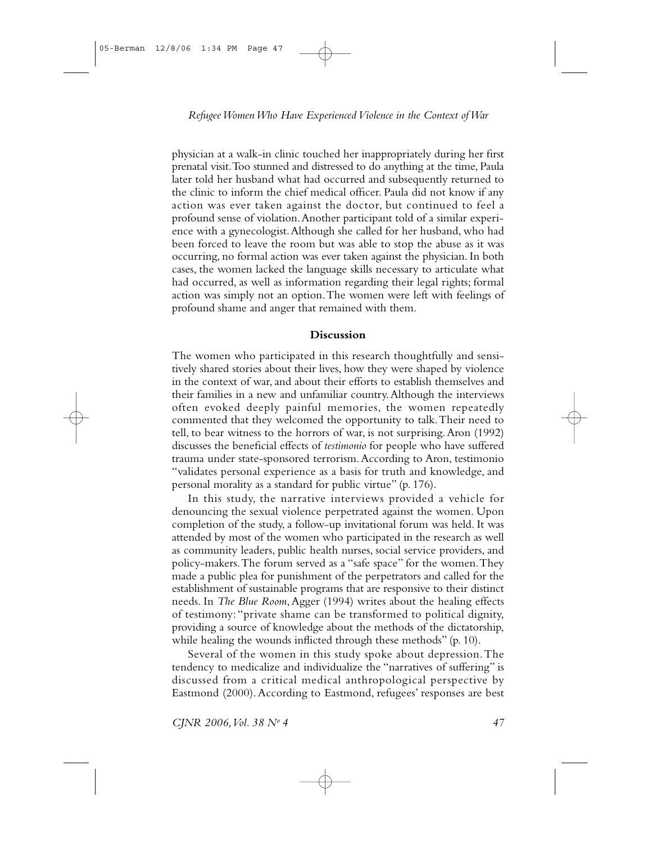physician at a walk-in clinic touched her inappropriately during her first prenatal visit. Too stunned and distressed to do anything at the time, Paula later told her husband what had occurred and subsequently returned to the clinic to inform the chief medical officer. Paula did not know if any action was ever taken against the doctor, but continued to feel a profound sense of violation. Another participant told of a similar experience with a gynecologist. Although she called for her husband, who had been forced to leave the room but was able to stop the abuse as it was occurring, no formal action was ever taken against the physician. In both cases, the women lacked the language skills necessary to articulate what had occurred, as well as information regarding their legal rights; formal action was simply not an option. The women were left with feelings of profound shame and anger that remained with them.

#### Discussion

The women who participated in this research thoughtfully and sensitively shared stories about their lives, how they were shaped by violence in the context of war, and about their efforts to establish themselves and their families in a new and unfamiliar country. Although the interviews often evoked deeply painful memories, the women repeatedly commented that they welcomed the opportunity to talk. Their need to tell, to bear witness to the horrors of war, is not surprising. Aron (1992) discusses the beneficial effects of testimonio for people who have suffered trauma under state-sponsored terrorism. According to Aron, testimonio "validates personal experience as a basis for truth and knowledge, and personal morality as a standard for public virtue" (p. 176).

In this study, the narrative interviews provided a vehicle for denouncing the sexual violence perpetrated against the women. Upon completion of the study, a follow-up invitational forum was held. It was attended by most of the women who participated in the research as well as community leaders, public health nurses, social service providers, and policy-makers. The forum served as a "safe space" for the women. They made a public plea for punishment of the perpetrators and called for the establishment of sustainable programs that are responsive to their distinct needs. In The Blue Room, Agger (1994) writes about the healing effects of testimony: "private shame can be transformed to political dignity, providing a source of knowledge about the methods of the dictatorship, while healing the wounds inflicted through these methods" (p. 10).

Several of the women in this study spoke about depression. The tendency to medicalize and individualize the "narratives of suffering" is discussed from a critical medical anthropological perspective by Eastmond (2000). According to Eastmond, refugees' responses are best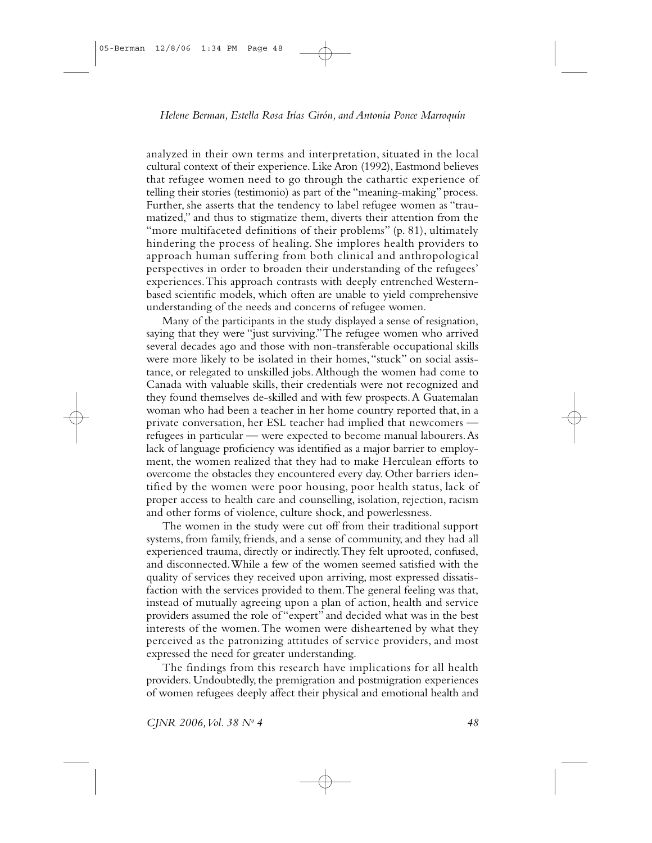analyzed in their own terms and interpretation, situated in the local cultural context of their experience. Like Aron (1992), Eastmond believes that refugee women need to go through the cathartic experience of telling their stories (testimonio) as part of the "meaning-making" process. Further, she asserts that the tendency to label refugee women as "traumatized," and thus to stigmatize them, diverts their attention from the "more multifaceted definitions of their problems" (p. 81), ultimately hindering the process of healing. She implores health providers to approach human suffering from both clinical and anthropological perspectives in order to broaden their understanding of the refugees' experiences. This approach contrasts with deeply entrenched Westernbased scientific models, which often are unable to yield comprehensive understanding of the needs and concerns of refugee women.

Many of the participants in the study displayed a sense of resignation, saying that they were "just surviving." The refugee women who arrived several decades ago and those with non-transferable occupational skills were more likely to be isolated in their homes, "stuck" on social assistance, or relegated to unskilled jobs. Although the women had come to Canada with valuable skills, their credentials were not recognized and they found themselves de-skilled and with few prospects. A Guatemalan woman who had been a teacher in her home country reported that, in a private conversation, her ESL teacher had implied that newcomers refugees in particular — were expected to become manual labourers. As lack of language proficiency was identified as a major barrier to employment, the women realized that they had to make Herculean efforts to overcome the obstacles they encountered every day. Other barriers identified by the women were poor housing, poor health status, lack of proper access to health care and counselling, isolation, rejection, racism and other forms of violence, culture shock, and powerlessness.

The women in the study were cut off from their traditional support systems, from family, friends, and a sense of community, and they had all experienced trauma, directly or indirectly. They felt uprooted, confused, and disconnected. While a few of the women seemed satisfied with the quality of services they received upon arriving, most expressed dissatisfaction with the services provided to them. The general feeling was that, instead of mutually agreeing upon a plan of action, health and service providers assumed the role of "expert" and decided what was in the best interests of the women. The women were disheartened by what they perceived as the patronizing attitudes of service providers, and most expressed the need for greater understanding.

The findings from this research have implications for all health providers. Undoubtedly, the premigration and postmigration experiences of women refugees deeply affect their physical and emotional health and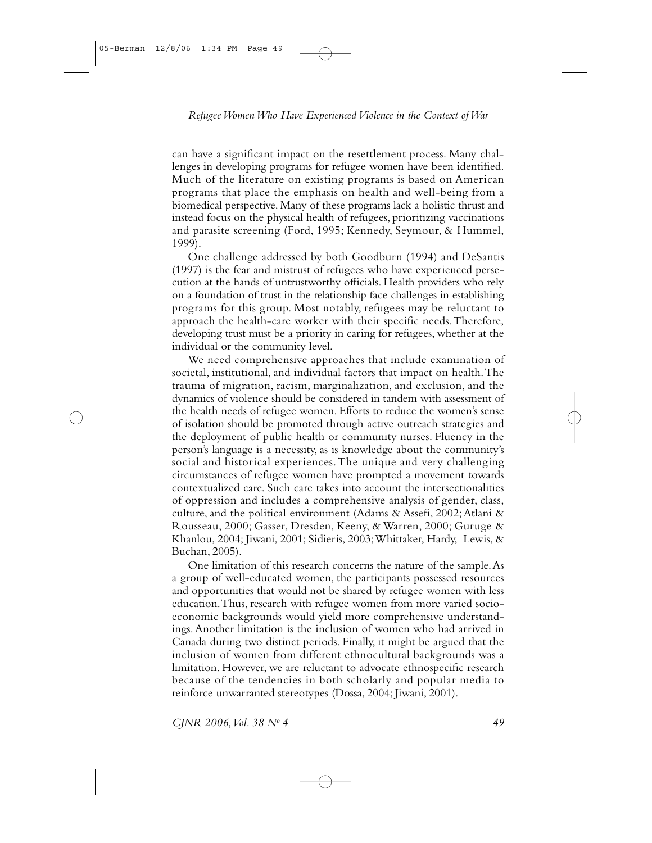can have a significant impact on the resettlement process. Many challenges in developing programs for refugee women have been identified. Much of the literature on existing programs is based on American programs that place the emphasis on health and well-being from a biomedical perspective. Many of these programs lack a holistic thrust and instead focus on the physical health of refugees, prioritizing vaccinations and parasite screening (Ford, 1995; Kennedy, Seymour, & Hummel, 1999).

One challenge addressed by both Goodburn (1994) and DeSantis (1997) is the fear and mistrust of refugees who have experienced persecution at the hands of untrustworthy officials. Health providers who rely on a foundation of trust in the relationship face challenges in establishing programs for this group. Most notably, refugees may be reluctant to approach the health-care worker with their specific needs. Therefore, developing trust must be a priority in caring for refugees, whether at the individual or the community level.

We need comprehensive approaches that include examination of societal, institutional, and individual factors that impact on health. The trauma of migration, racism, marginalization, and exclusion, and the dynamics of violence should be considered in tandem with assessment of the health needs of refugee women. Efforts to reduce the women's sense of isolation should be promoted through active outreach strategies and the deployment of public health or community nurses. Fluency in the person's language is a necessity, as is knowledge about the community's social and historical experiences. The unique and very challenging circumstances of refugee women have prompted a movement towards contextualized care. Such care takes into account the intersectionalities of oppression and includes a comprehensive analysis of gender, class, culture, and the political environment (Adams & Assefi, 2002; Atlani & Rousseau, 2000; Gasser, Dresden, Keeny, & Warren, 2000; Guruge & Khanlou, 2004; Jiwani, 2001; Sidieris, 2003; Whittaker, Hardy, Lewis, & Buchan, 2005).

One limitation of this research concerns the nature of the sample. As a group of well-educated women, the participants possessed resources and opportunities that would not be shared by refugee women with less education. Thus, research with refugee women from more varied socioeconomic backgrounds would yield more comprehensive understandings. Another limitation is the inclusion of women who had arrived in Canada during two distinct periods. Finally, it might be argued that the inclusion of women from different ethnocultural backgrounds was a limitation. However, we are reluctant to advocate ethnospecific research because of the tendencies in both scholarly and popular media to reinforce unwarranted stereotypes (Dossa, 2004; Jiwani, 2001).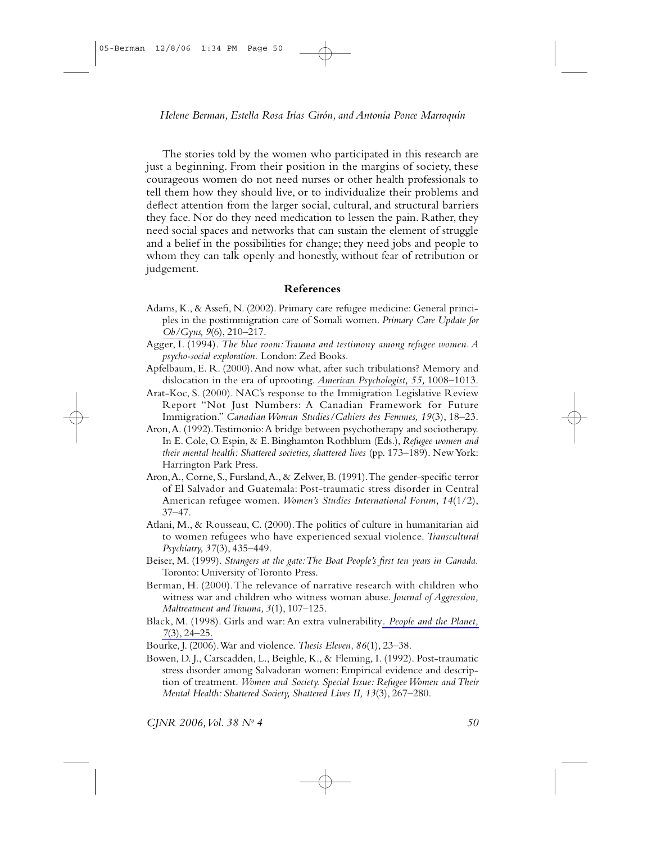The stories told by the women who participated in this research are just a beginning. From their position in the margins of society, these courageous women do not need nurses or other health professionals to tell them how they should live, or to individualize their problems and deflect attention from the larger social, cultural, and structural barriers they face. Nor do they need medication to lessen the pain. Rather, they need social spaces and networks that can sustain the element of struggle and a belief in the possibilities for change; they need jobs and people to whom they can talk openly and honestly, without fear of retribution or judgement.

## References

- Adams, K., & Assefi, N. (2002). Primary care refugee medicine: General principles in the postimmigration care of Somali women. Primary Care Update for  $Ob/Gyns$ ,  $9(6)$ ,  $210-217$ .
- Agger, I. (1994). The blue room: Trauma and testimony among refugee women.  $A$ psycho-social exploration. London: Zed Books.
- Apfelbaum, E. R. (2000). And now what, after such tribulations? Memory and dislocation in the era of uprooting. American Psychologist, 55, 1008-1013.
- Arat-Koc, S. (2000). NAC's response to the Immigration Legislative Review Report "Not Just Numbers: A Canadian Framework for Future Immigration." Canadian Woman Studies/Cahiers des Femmes, 19(3), 18-23.
- Aron, A. (1992). Testimonio: A bridge between psychotherapy and sociotherapy. In E. Cole, O. Espin, & E. Binghamton Rothblum (Eds.), Refugee women and their mental health: Shattered societies, shattered lives (pp. 173-189). New York: Harrington Park Press.
- Aron, A., Corne, S., Fursland, A., & Zelwer, B. (1991). The gender-specific terror of El Salvador and Guatemala: Post-traumatic stress disorder in Central American refugee women. Women's Studies International Forum, 14(1/2),  $37 - 47$ .
- Atlani, M., & Rousseau, C. (2000). The politics of culture in humanitarian aid to women refugees who have experienced sexual violence. Transcultural Psychiatry, 37(3), 435-449.
- Beiser, M. (1999). Strangers at the gate: The Boat People's first ten years in Canada. Toronto: University of Toronto Press.
- Berman, H. (2000). The relevance of narrative research with children who witness war and children who witness woman abuse. Journal of Aggression, Maltreatment and Trauma, 3(1), 107-125.
- Black, M. (1998). Girls and war: An extra vulnerability. People and the Planet,  $7(3), 24-25.$
- Bourke, J. (2006). War and violence. Thesis Eleven, 86(1), 23-38.
- Bowen, D. J., Carscadden, L., Beighle, K., & Fleming, I. (1992). Post-traumatic stress disorder among Salvadoran women: Empirical evidence and description of treatment. Women and Society. Special Issue: Refugee Women and Their Mental Health: Shattered Society, Shattered Lives II, 13(3), 267-280.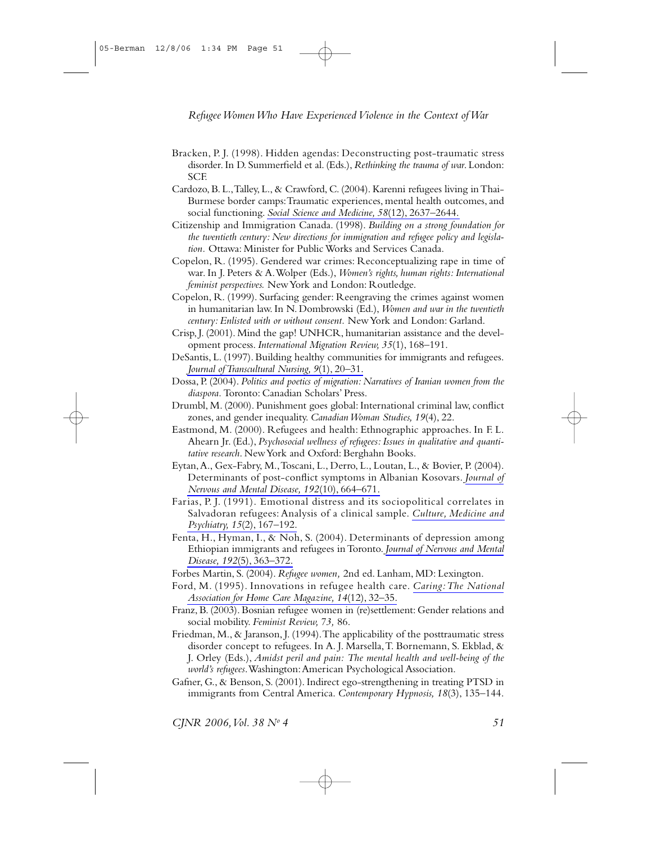- Bracken, P. J. (1998). Hidden agendas: Deconstructing post-traumatic stress disorder. In D. Summerfield et al. (Eds.), Rethinking the trauma of war. London: **SCE**
- Cardozo, B. L., Talley, L., & Crawford, C. (2004). Karenni refugees living in Thai-Burmese border camps: Traumatic experiences, mental health outcomes, and social functioning. Social Science and Medicine, 58(12), 2637-2644.
- Citizenship and Immigration Canada. (1998). Building on a strong foundation for the twentieth century: New directions for immigration and refugee policy and legislation. Ottawa: Minister for Public Works and Services Canada.
- Copelon, R. (1995). Gendered war crimes: Reconceptualizing rape in time of war. In J. Peters & A. Wolper (Eds.), Women's rights, human rights: International feminist perspectives. New York and London: Routledge.
- Copelon, R. (1999). Surfacing gender: Reengraving the crimes against women in humanitarian law. In N. Dombrowski (Ed.), Women and war in the twentieth century: Enlisted with or without consent. New York and London: Garland.
- Crisp, J. (2001). Mind the gap! UNHCR, humanitarian assistance and the development process. International Migration Review, 35(1), 168-191.
- DeSantis, L. (1997). Building healthy communities for immigrants and refugees. Journal of Transcultural Nursing, 9(1), 20–31.
- Dossa, P. (2004). Politics and poetics of migration: Narratives of Iranian women from the diaspora. Toronto: Canadian Scholars' Press.
- Drumbl, M. (2000). Punishment goes global: International criminal law, conflict zones, and gender inequality. Canadian Woman Studies, 19(4), 22.
- Eastmond, M. (2000). Refugees and health: Ethnographic approaches. In F.L. Ahearn Jr. (Ed.), Psychosocial wellness of refugees: Issues in qualitative and quantitative research. New York and Oxford: Berghahn Books.
- Eytan, A., Gex-Fabry, M., Toscani, L., Derro, L., Loutan, L., & Bovier, P. (2004). Determinants of post-conflict symptoms in Albanian Kosovars. Journal of Nervous and Mental Disease, 192(10), 664-671.
- Farias, P.J. (1991). Emotional distress and its sociopolitical correlates in Salvadoran refugees: Analysis of a clinical sample. Culture, Medicine and Psychiatry, 15(2), 167-192.
- Fenta, H., Hyman, I., & Noh, S. (2004). Determinants of depression among Ethiopian immigrants and refugees in Toronto. Journal of Nervous and Mental Disease, 192(5), 363-372.
- Forbes Martin, S. (2004). Refugee women, 2nd ed. Lanham, MD: Lexington.
- Ford, M. (1995). Innovations in refugee health care. Caring: The National Association for Home Care Magazine, 14(12), 32-35.
- Franz, B. (2003). Bosnian refugee women in (re)settlement: Gender relations and social mobility. Feminist Review, 73, 86.
- Friedman, M., & Jaranson, J. (1994). The applicability of the posttraumatic stress disorder concept to refugees. In A. J. Marsella, T. Bornemann, S. Ekblad, & J. Orley (Eds.), Amidst peril and pain: The mental health and well-being of the world's refugees. Washington: American Psychological Association.
- Gafner, G., & Benson, S. (2001). Indirect ego-strengthening in treating PTSD in immigrants from Central America. Contemporary Hypnosis, 18(3), 135-144.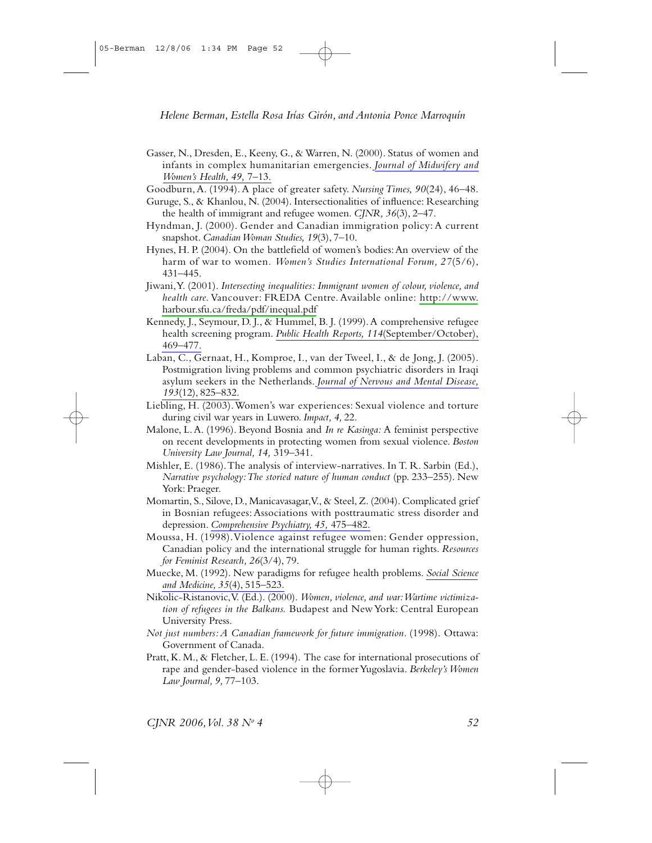- Gasser, N., Dresden, E., Keeny, G., & Warren, N. (2000). Status of women and infants in complex humanitarian emergencies. Journal of Midwifery and Women's Health, 49, 7-13.
- Goodburn, A. (1994). A place of greater safety. Nursing Times, 90(24), 46–48.
- Guruge, S., & Khanlou, N. (2004). Intersectionalities of influence: Researching the health of immigrant and refugee women. CJNR,  $36(3)$ , 2-47.
- Hyndman, J. (2000). Gender and Canadian immigration policy: A current snapshot. Canadian Woman Studies, 19(3), 7-10.
- Hynes, H. P. (2004). On the battlefield of women's bodies: An overview of the harm of war to women. Women's Studies International Forum, 27(5/6),  $431 - 445.$
- Jiwani, Y. (2001). Intersecting inequalities: Immigrant women of colour, violence, and health care. Vancouver: FREDA Centre. Available online: http://www. harbour.sfu.ca/freda/pdf/inequal.pdf
- Kennedy, J., Seymour, D. J., & Hummel, B. J. (1999). A comprehensive refugee health screening program. Public Health Reports, 114(September/October), 469-477.
- Laban, C., Gernaat, H., Komproe, I., van der Tweel, I., & de Jong, J. (2005). Postmigration living problems and common psychiatric disorders in Iraqi asylum seekers in the Netherlands. Journal of Nervous and Mental Disease, 193(12), 825-832.
- Liebling, H. (2003). Women's war experiences: Sexual violence and torture during civil war years in Luwero. Impact, 4, 22.
- Malone, L. A. (1996). Beyond Bosnia and *In re Kasinga*: A feminist perspective on recent developments in protecting women from sexual violence. Boston University Law Journal, 14, 319-341.
- Mishler, E. (1986). The analysis of interview-narratives. In T. R. Sarbin (Ed.), Narrative psychology: The storied nature of human conduct (pp. 233–255). New York: Praeger.
- Momartin, S., Silove, D., Manicavasagar, V., & Steel, Z. (2004). Complicated grief in Bosnian refugees: Associations with posttraumatic stress disorder and depression. Comprehensive Psychiatry, 45, 475-482.
- Moussa, H. (1998). Violence against refugee women: Gender oppression, Canadian policy and the international struggle for human rights. Resources for Feminist Research, 26(3/4), 79.
- Muecke, M. (1992). New paradigms for refugee health problems. Social Science and Medicine, 35(4), 515-523.
- Nikolic-Ristanovic, V. (Ed.). (2000). Women, violence, and war: Wartime victimization of refugees in the Balkans. Budapest and New York: Central European University Press.
- Not just numbers: A Canadian framework for future immigration. (1998). Ottawa: Government of Canada.
- Pratt, K. M., & Fletcher, L. E. (1994). The case for international prosecutions of rape and gender-based violence in the former Yugoslavia. Berkeley's Women Law Journal, 9, 77-103.